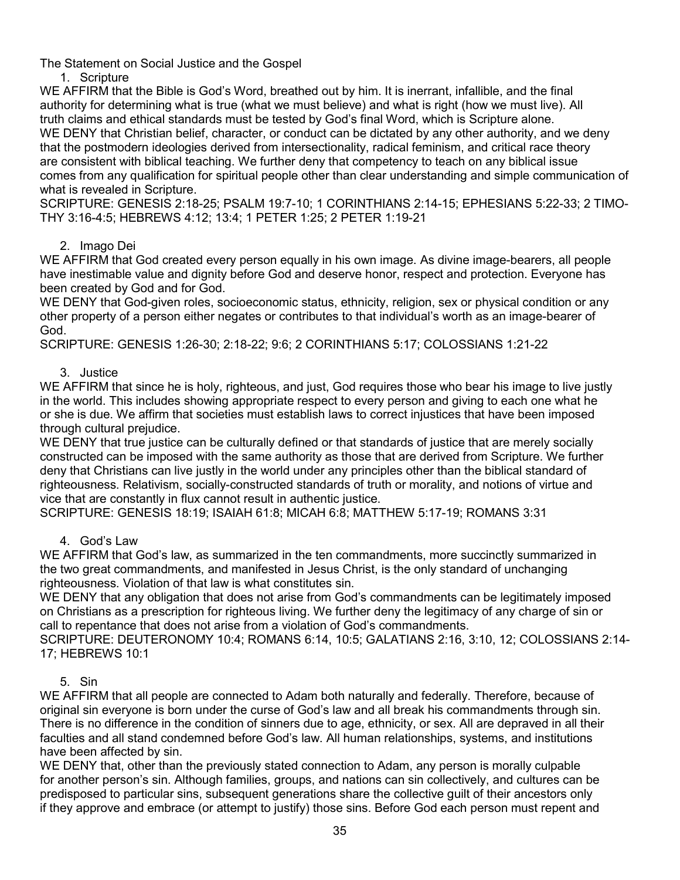The Statement on Social Justice and the Gospel

1. Scripture

WE AFFIRM that the Bible is God's Word, breathed out by him. It is inerrant, infallible, and the final authority for determining what is true (what we must believe) and what is right (how we must live). All truth claims and ethical standards must be tested by God's final Word, which is Scripture alone. WE DENY that Christian belief, character, or conduct can be dictated by any other authority, and we deny that the postmodern ideologies derived from intersectionality, radical feminism, and critical race theory are consistent with biblical teaching. We further deny that competency to teach on any biblical issue comes from any qualification for spiritual people other than clear understanding and simple communication of what is revealed in Scripture.

SCRIPTURE: GENESIS 2:18-25; PSALM 19:7-10; 1 CORINTHIANS 2:14-15; EPHESIANS 5:22-33; 2 TIMO-THY 3:16-4:5; HEBREWS 4:12; 13:4; 1 PETER 1:25; 2 PETER 1:19-21

# 2. Imago Dei

WE AFFIRM that God created every person equally in his own image. As divine image-bearers, all people have inestimable value and dignity before God and deserve honor, respect and protection. Everyone has been created by God and for God.

WE DENY that God-given roles, socioeconomic status, ethnicity, religion, sex or physical condition or any other property of a person either negates or contributes to that individual's worth as an image-bearer of God.

SCRIPTURE: GENESIS 1:26-30; 2:18-22; 9:6; 2 CORINTHIANS 5:17; COLOSSIANS 1:21-22

## 3. Justice

WE AFFIRM that since he is holy, righteous, and just. God requires those who bear his image to live justly in the world. This includes showing appropriate respect to every person and giving to each one what he or she is due. We affirm that societies must establish laws to correct injustices that have been imposed through cultural prejudice.

WE DENY that true justice can be culturally defined or that standards of justice that are merely socially constructed can be imposed with the same authority as those that are derived from Scripture. We further deny that Christians can live justly in the world under any principles other than the biblical standard of righteousness. Relativism, socially-constructed standards of truth or morality, and notions of virtue and vice that are constantly in flux cannot result in authentic justice.

SCRIPTURE: GENESIS 18:19; ISAIAH 61:8; MICAH 6:8; MATTHEW 5:17-19; ROMANS 3:31

### 4. God's Law

WE AFFIRM that God's law, as summarized in the ten commandments, more succinctly summarized in the two great commandments, and manifested in Jesus Christ, is the only standard of unchanging righteousness. Violation of that law is what constitutes sin.

WE DENY that any obligation that does not arise from God's commandments can be legitimately imposed on Christians as a prescription for righteous living. We further deny the legitimacy of any charge of sin or call to repentance that does not arise from a violation of God's commandments.

SCRIPTURE: DEUTERONOMY 10:4; ROMANS 6:14, 10:5; GALATIANS 2:16, 3:10, 12; COLOSSIANS 2:14- 17; HEBREWS 10:1

### 5. Sin

WE AFFIRM that all people are connected to Adam both naturally and federally. Therefore, because of original sin everyone is born under the curse of God's law and all break his commandments through sin. There is no difference in the condition of sinners due to age, ethnicity, or sex. All are depraved in all their faculties and all stand condemned before God's law. All human relationships, systems, and institutions have been affected by sin.

WE DENY that, other than the previously stated connection to Adam, any person is morally culpable for another person's sin. Although families, groups, and nations can sin collectively, and cultures can be predisposed to particular sins, subsequent generations share the collective guilt of their ancestors only if they approve and embrace (or attempt to justify) those sins. Before God each person must repent and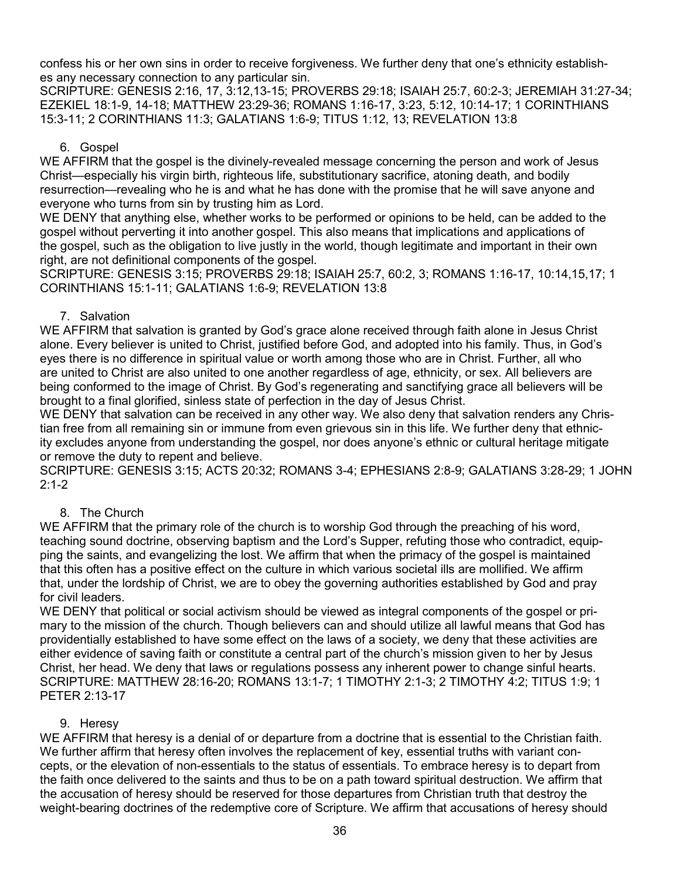confess his or her own sins in order to receive forgiveness. We further deny that one's ethnicity establishes any necessary connection to any particular sin.

SCRIPTURE: GENESIS 2:16, 17, 3:12,13-15; PROVERBS 29:18; ISAIAH 25:7, 60:2-3; JEREMIAH 31:27-34; EZEKIEL 18:1-9, 14-18; MATTHEW 23:29-36; ROMANS 1:16-17, 3:23, 5:12, 10:14-17; 1 CORINTHIANS 15:3-11; 2 CORINTHIANS 11:3; GALATIANS 1:6-9; TITUS 1:12, 13; REVELATION 13:8

### 6. Gospel

WE AFFIRM that the gospel is the divinely-revealed message concerning the person and work of Jesus Christ—especially his virgin birth, righteous life, substitutionary sacrifice, atoning death, and bodily resurrection—revealing who he is and what he has done with the promise that he will save anyone and everyone who turns from sin by trusting him as Lord.

WE DENY that anything else, whether works to be performed or opinions to be held, can be added to the gospel without perverting it into another gospel. This also means that implications and applications of the gospel, such as the obligation to live justly in the world, though legitimate and important in their own right, are not definitional components of the gospel.

SCRIPTURE: GENESIS 3:15; PROVERBS 29:18; ISAIAH 25:7, 60:2, 3; ROMANS 1:16-17, 10:14,15,17; 1 CORINTHIANS 15:1-11; GALATIANS 1:6-9; REVELATION 13:8

## 7. Salvation

WE AFFIRM that salvation is granted by God's grace alone received through faith alone in Jesus Christ alone. Every believer is united to Christ, justified before God, and adopted into his family. Thus, in God's eyes there is no difference in spiritual value or worth among those who are in Christ. Further, all who are united to Christ are also united to one another regardless of age, ethnicity, or sex. All believers are being conformed to the image of Christ. By God's regenerating and sanctifying grace all believers will be brought to a final glorified, sinless state of perfection in the day of Jesus Christ.

WE DENY that salvation can be received in any other way. We also deny that salvation renders any Christian free from all remaining sin or immune from even grievous sin in this life. We further deny that ethnicity excludes anyone from understanding the gospel, nor does anyone's ethnic or cultural heritage mitigate or remove the duty to repent and believe.

SCRIPTURE: GENESIS 3:15; ACTS 20:32; ROMANS 3-4; EPHESIANS 2:8-9; GALATIANS 3:28-29; 1 JOHN  $2:1 - 2$ 

# 8. The Church

WE AFFIRM that the primary role of the church is to worship God through the preaching of his word, teaching sound doctrine, observing baptism and the Lord's Supper, refuting those who contradict, equipping the saints, and evangelizing the lost. We affirm that when the primacy of the gospel is maintained that this often has a positive effect on the culture in which various societal ills are mollified. We affirm that, under the lordship of Christ, we are to obey the governing authorities established by God and pray for civil leaders.

WE DENY that political or social activism should be viewed as integral components of the gospel or primary to the mission of the church. Though believers can and should utilize all lawful means that God has providentially established to have some effect on the laws of a society, we deny that these activities are either evidence of saving faith or constitute a central part of the church's mission given to her by Jesus Christ, her head. We deny that laws or regulations possess any inherent power to change sinful hearts. SCRIPTURE: MATTHEW 28:16-20; ROMANS 13:1-7; 1 TIMOTHY 2:1-3; 2 TIMOTHY 4:2; TITUS 1:9; 1 PETER 2:13-17

# 9. Heresy

WE AFFIRM that heresy is a denial of or departure from a doctrine that is essential to the Christian faith. We further affirm that heresy often involves the replacement of key, essential truths with variant concepts, or the elevation of non-essentials to the status of essentials. To embrace heresy is to depart from the faith once delivered to the saints and thus to be on a path toward spiritual destruction. We affirm that the accusation of heresy should be reserved for those departures from Christian truth that destroy the weight-bearing doctrines of the redemptive core of Scripture. We affirm that accusations of heresy should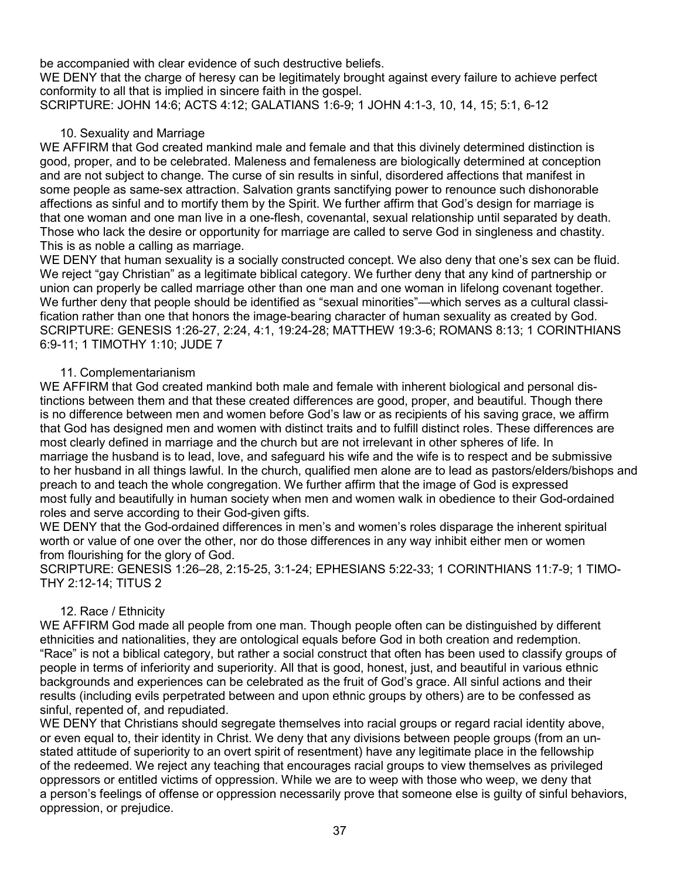be accompanied with clear evidence of such destructive beliefs.

WE DENY that the charge of heresy can be legitimately brought against every failure to achieve perfect conformity to all that is implied in sincere faith in the gospel.

SCRIPTURE: JOHN 14:6; ACTS 4:12; GALATIANS 1:6-9; 1 JOHN 4:1-3, 10, 14, 15; 5:1, 6-12

## 10. Sexuality and Marriage

WE AFFIRM that God created mankind male and female and that this divinely determined distinction is good, proper, and to be celebrated. Maleness and femaleness are biologically determined at conception and are not subject to change. The curse of sin results in sinful, disordered affections that manifest in some people as same-sex attraction. Salvation grants sanctifying power to renounce such dishonorable affections as sinful and to mortify them by the Spirit. We further affirm that God's design for marriage is that one woman and one man live in a one-flesh, covenantal, sexual relationship until separated by death. Those who lack the desire or opportunity for marriage are called to serve God in singleness and chastity. This is as noble a calling as marriage.

WE DENY that human sexuality is a socially constructed concept. We also deny that one's sex can be fluid. We reject "gay Christian" as a legitimate biblical category. We further deny that any kind of partnership or union can properly be called marriage other than one man and one woman in lifelong covenant together. We further deny that people should be identified as "sexual minorities"—which serves as a cultural classification rather than one that honors the image-bearing character of human sexuality as created by God. SCRIPTURE: GENESIS 1:26-27, 2:24, 4:1, 19:24-28; MATTHEW 19:3-6; ROMANS 8:13; 1 CORINTHIANS 6:9-11; 1 TIMOTHY 1:10; JUDE 7

## 11. Complementarianism

WE AFFIRM that God created mankind both male and female with inherent biological and personal distinctions between them and that these created differences are good, proper, and beautiful. Though there is no difference between men and women before God's law or as recipients of his saving grace, we affirm that God has designed men and women with distinct traits and to fulfill distinct roles. These differences are most clearly defined in marriage and the church but are not irrelevant in other spheres of life. In marriage the husband is to lead, love, and safeguard his wife and the wife is to respect and be submissive to her husband in all things lawful. In the church, qualified men alone are to lead as pastors/elders/bishops and preach to and teach the whole congregation. We further affirm that the image of God is expressed most fully and beautifully in human society when men and women walk in obedience to their God-ordained roles and serve according to their God-given gifts.

WE DENY that the God-ordained differences in men's and women's roles disparage the inherent spiritual worth or value of one over the other, nor do those differences in any way inhibit either men or women from flourishing for the glory of God.

SCRIPTURE: GENESIS 1:26–28, 2:15-25, 3:1-24; EPHESIANS 5:22-33; 1 CORINTHIANS 11:7-9; 1 TIMO-THY 2:12-14; TITUS 2

### 12. Race / Ethnicity

WE AFFIRM God made all people from one man. Though people often can be distinguished by different ethnicities and nationalities, they are ontological equals before God in both creation and redemption. "Race" is not a biblical category, but rather a social construct that often has been used to classify groups of people in terms of inferiority and superiority. All that is good, honest, just, and beautiful in various ethnic backgrounds and experiences can be celebrated as the fruit of God's grace. All sinful actions and their results (including evils perpetrated between and upon ethnic groups by others) are to be confessed as sinful, repented of, and repudiated.

WE DENY that Christians should segregate themselves into racial groups or regard racial identity above, or even equal to, their identity in Christ. We deny that any divisions between people groups (from an unstated attitude of superiority to an overt spirit of resentment) have any legitimate place in the fellowship of the redeemed. We reject any teaching that encourages racial groups to view themselves as privileged oppressors or entitled victims of oppression. While we are to weep with those who weep, we deny that a person's feelings of offense or oppression necessarily prove that someone else is guilty of sinful behaviors, oppression, or prejudice.